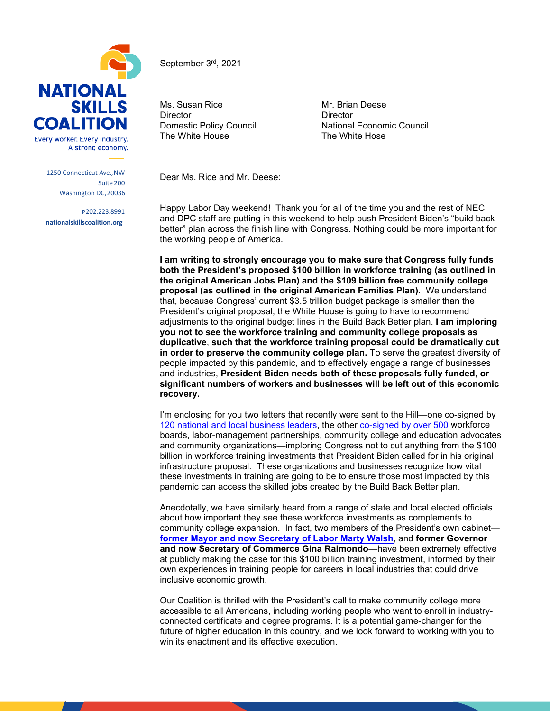

A strong economy.

1250 Connecticut Ave.,NW Suite 200 Washington DC,20036

**P**202.223.8991 **nationalskillscoalition.org**

June 21st, 2021

September 3rd, 2021

Ms. Susan Rice Mr. Brian Deese Director Director The White House

Domestic Policy Council **National Economic Council**<br>The White House **National Council** The White Hose

Dear Ms. Rice and Mr. Deese:

Happy Labor Day weekend! Thank you for all of the time you and the rest of NEC and DPC staff are putting in this weekend to help push President Biden's "build back better" plan across the finish line with Congress. Nothing could be more important for the working people of America.

**I am writing to strongly encourage you to make sure that Congress fully funds both the President's proposed \$100 billion in workforce training (as outlined in the original American Jobs Plan) and the \$109 billion free community college proposal (as outlined in the original American Families Plan).** We understand that, because Congress' current \$3.5 trillion budget package is smaller than the President's original proposal, the White House is going to have to recommend adjustments to the original budget lines in the Build Back Better plan. **I am imploring you not to see the workforce training and community college proposals as duplicative**, **such that the workforce training proposal could be dramatically cut in order to preserve the community college plan.** To serve the greatest diversity of people impacted by this pandemic, and to effectively engage a range of businesses and industries, **President Biden needs both of these proposals fully funded, or significant numbers of workers and businesses will be left out of this economic recovery.**

I'm enclosing for you two letters that recently were sent to the Hill—one co-signed by [120 national and local business leaders,](chrome-extension://efaidnbmnnnibpcajpcglclefindmkaj/viewer.html?pdfurl=https%3A%2F%2Fwww.nationalskillscoalition.org%2Fwp-content%2Fuploads%2F2021%2F08%2FBusiness-leaders-call-for-100B-in-workforce-investments.pdf&clen=82305&chunk=true) the other [co-signed by over 500](chrome-extension://efaidnbmnnnibpcajpcglclefindmkaj/viewer.html?pdfurl=https%3A%2F%2Fstatic1.squarespace.com%2Fstatic%2F5908b1b7c534a531505970e2%2Ft%2F61292c8c229d16609680bcce%2F1630088333156%2FCampaign%2Bto%2BInvest%2Bin%2BAmericas%2BWorkforce%2B100B%2Bworkforce%2Bfunding.pdf&clen=277532&chunk=true) workforce boards, labor-management partnerships, community college and education advocates and community organizations—imploring Congress not to cut anything from the \$100 billion in workforce training investments that President Biden called for in his original infrastructure proposal. These organizations and businesses recognize how vital these investments in training are going to be to ensure those most impacted by this pandemic can access the skilled jobs created by the Build Back Better plan.

Anecdotally, we have similarly heard from a range of state and local elected officials about how important they see these workforce investments as complements to community college expansion. In fact, two members of the President's own cabinet **[former Mayor and now Secretary of Labor Marty Walsh](https://www.nationalskillsfiresidechats.com/)**, and **former Governor and now Secretary of Commerce Gina Raimondo**—have been extremely effective at publicly making the case for this \$100 billion training investment, informed by their own experiences in training people for careers in local industries that could drive inclusive economic growth.

Our Coalition is thrilled with the President's call to make community college more accessible to all Americans, including working people who want to enroll in industryconnected certificate and degree programs. It is a potential game-changer for the future of higher education in this country, and we look forward to working with you to win its enactment and its effective execution.